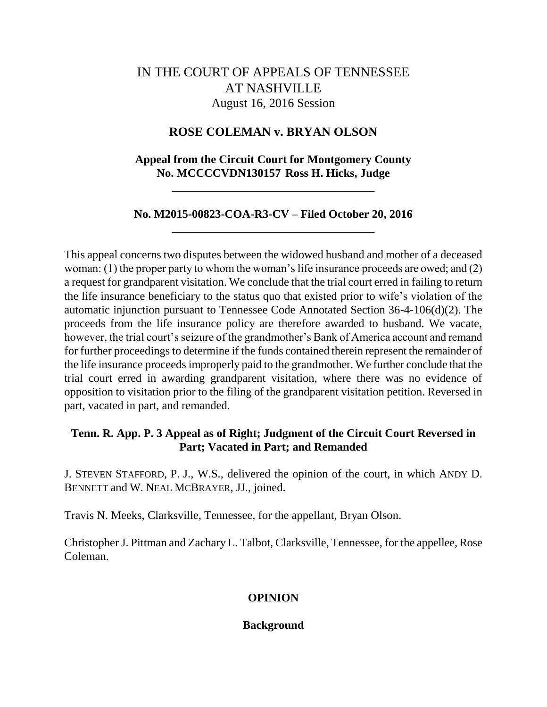# IN THE COURT OF APPEALS OF TENNESSEE AT NASHVILLE August 16, 2016 Session

# **ROSE COLEMAN v. BRYAN OLSON**

## **Appeal from the Circuit Court for Montgomery County No. MCCCCVDN130157 Ross H. Hicks, Judge**

**\_\_\_\_\_\_\_\_\_\_\_\_\_\_\_\_\_\_\_\_\_\_\_\_\_\_\_\_\_\_\_\_\_\_\_**

# **No. M2015-00823-COA-R3-CV – Filed October 20, 2016 \_\_\_\_\_\_\_\_\_\_\_\_\_\_\_\_\_\_\_\_\_\_\_\_\_\_\_\_\_\_\_\_\_\_\_**

This appeal concerns two disputes between the widowed husband and mother of a deceased woman: (1) the proper party to whom the woman's life insurance proceeds are owed; and (2) a request for grandparent visitation. We conclude that the trial court erred in failing to return the life insurance beneficiary to the status quo that existed prior to wife's violation of the automatic injunction pursuant to Tennessee Code Annotated Section 36-4-106(d)(2). The proceeds from the life insurance policy are therefore awarded to husband. We vacate, however, the trial court's seizure of the grandmother's Bank of America account and remand for further proceedings to determine if the funds contained therein represent the remainder of the life insurance proceeds improperly paid to the grandmother. We further conclude that the trial court erred in awarding grandparent visitation, where there was no evidence of opposition to visitation prior to the filing of the grandparent visitation petition. Reversed in part, vacated in part, and remanded.

## **Tenn. R. App. P. 3 Appeal as of Right; Judgment of the Circuit Court Reversed in Part; Vacated in Part; and Remanded**

J. STEVEN STAFFORD, P. J., W.S., delivered the opinion of the court, in which ANDY D. BENNETT and W. NEAL MCBRAYER, JJ., joined.

Travis N. Meeks, Clarksville, Tennessee, for the appellant, Bryan Olson.

Christopher J. Pittman and Zachary L. Talbot, Clarksville, Tennessee, for the appellee, Rose Coleman.

## **OPINION**

### **Background**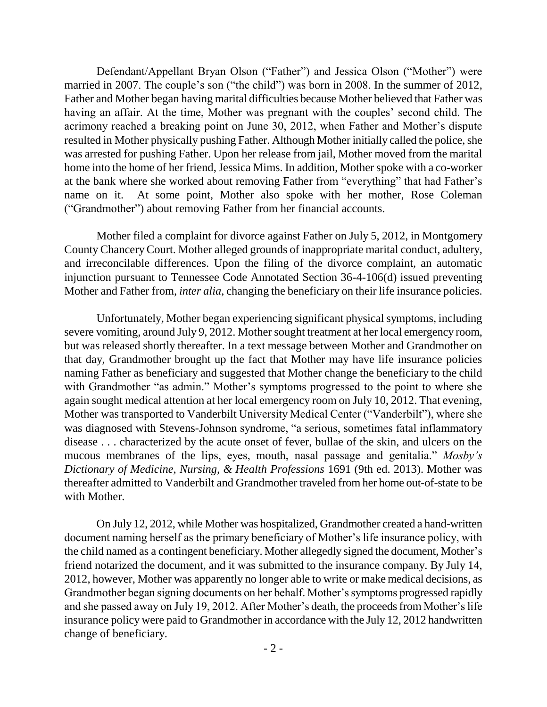Defendant/Appellant Bryan Olson ("Father") and Jessica Olson ("Mother") were married in 2007. The couple's son ("the child") was born in 2008. In the summer of 2012, Father and Mother began having marital difficulties because Mother believed that Father was having an affair. At the time, Mother was pregnant with the couples' second child. The acrimony reached a breaking point on June 30, 2012, when Father and Mother's dispute resulted in Mother physically pushing Father. Although Mother initially called the police, she was arrested for pushing Father. Upon her release from jail, Mother moved from the marital home into the home of her friend, Jessica Mims. In addition, Mother spoke with a co-worker at the bank where she worked about removing Father from "everything" that had Father's name on it. At some point, Mother also spoke with her mother, Rose Coleman ("Grandmother") about removing Father from her financial accounts.

Mother filed a complaint for divorce against Father on July 5, 2012, in Montgomery County Chancery Court. Mother alleged grounds of inappropriate marital conduct, adultery, and irreconcilable differences. Upon the filing of the divorce complaint, an automatic injunction pursuant to Tennessee Code Annotated Section 36-4-106(d) issued preventing Mother and Father from, *inter alia*, changing the beneficiary on their life insurance policies.

Unfortunately, Mother began experiencing significant physical symptoms, including severe vomiting, around July 9, 2012. Mother sought treatment at her local emergency room, but was released shortly thereafter. In a text message between Mother and Grandmother on that day, Grandmother brought up the fact that Mother may have life insurance policies naming Father as beneficiary and suggested that Mother change the beneficiary to the child with Grandmother "as admin." Mother's symptoms progressed to the point to where she again sought medical attention at her local emergency room on July 10, 2012. That evening, Mother was transported to Vanderbilt University Medical Center ("Vanderbilt"), where she was diagnosed with Stevens-Johnson syndrome, "a serious, sometimes fatal inflammatory disease . . . characterized by the acute onset of fever, bullae of the skin, and ulcers on the mucous membranes of the lips, eyes, mouth, nasal passage and genitalia." Mosby's *Dictionary of Medicine, Nursing, & Health Professions* 1691 (9th ed. 2013). Mother was thereafter admitted to Vanderbilt and Grandmother traveled from her home out-of-state to be with Mother.

On July 12, 2012, while Mother was hospitalized, Grandmother created a hand-written document naming herself as the primary beneficiary of Mother's life insurance policy, with the child named as a contingent beneficiary. Mother allegedly signed the document, Mother's friend notarized the document, and it was submitted to the insurance company. By July 14, 2012, however, Mother was apparently no longer able to write or make medical decisions, as Grandmother began signing documents on her behalf. Mother's symptoms progressed rapidly and she passed away on July 19, 2012. After Mother's death, the proceeds from Mother's life insurance policy were paid to Grandmother in accordance with the July 12, 2012 handwritten change of beneficiary.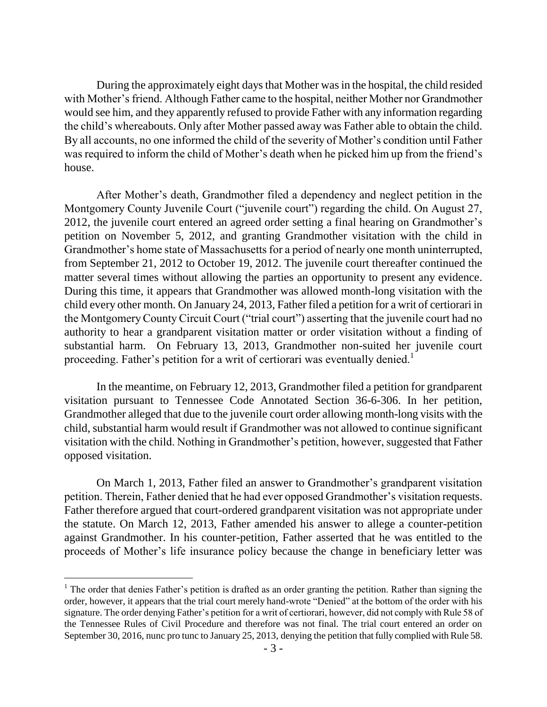During the approximately eight days that Mother was in the hospital, the child resided with Mother's friend. Although Father came to the hospital, neither Mother nor Grandmother would see him, and they apparently refused to provide Father with any information regarding the child's whereabouts. Only after Mother passed away was Father able to obtain the child. By all accounts, no one informed the child of the severity of Mother's condition until Father was required to inform the child of Mother's death when he picked him up from the friend's house.

After Mother's death, Grandmother filed a dependency and neglect petition in the Montgomery County Juvenile Court ("juvenile court") regarding the child. On August 27, 2012, the juvenile court entered an agreed order setting a final hearing on Grandmother's petition on November 5, 2012, and granting Grandmother visitation with the child in Grandmother's home state of Massachusetts for a period of nearly one month uninterrupted, from September 21, 2012 to October 19, 2012. The juvenile court thereafter continued the matter several times without allowing the parties an opportunity to present any evidence. During this time, it appears that Grandmother was allowed month-long visitation with the child every other month. On January 24, 2013, Father filed a petition for a writ of certiorari in the Montgomery County Circuit Court ("trial court") asserting that the juvenile court had no authority to hear a grandparent visitation matter or order visitation without a finding of substantial harm. On February 13, 2013, Grandmother non-suited her juvenile court proceeding. Father's petition for a writ of certiorari was eventually denied.<sup>1</sup>

In the meantime, on February 12, 2013, Grandmother filed a petition for grandparent visitation pursuant to Tennessee Code Annotated Section 36-6-306. In her petition, Grandmother alleged that due to the juvenile court order allowing month-long visits with the child, substantial harm would result if Grandmother was not allowed to continue significant visitation with the child. Nothing in Grandmother's petition, however, suggested that Father opposed visitation.

On March 1, 2013, Father filed an answer to Grandmother's grandparent visitation petition. Therein, Father denied that he had ever opposed Grandmother's visitation requests. Father therefore argued that court-ordered grandparent visitation was not appropriate under the statute. On March 12, 2013, Father amended his answer to allege a counter-petition against Grandmother. In his counter-petition, Father asserted that he was entitled to the proceeds of Mother's life insurance policy because the change in beneficiary letter was

<sup>&</sup>lt;sup>1</sup> The order that denies Father's petition is drafted as an order granting the petition. Rather than signing the order, however, it appears that the trial court merely hand-wrote "Denied" at the bottom of the order with his signature. The order denying Father's petition for a writ of certiorari, however, did not comply with Rule 58 of the Tennessee Rules of Civil Procedure and therefore was not final. The trial court entered an order on September 30, 2016, nunc pro tunc to January 25, 2013, denying the petition that fully complied with Rule 58.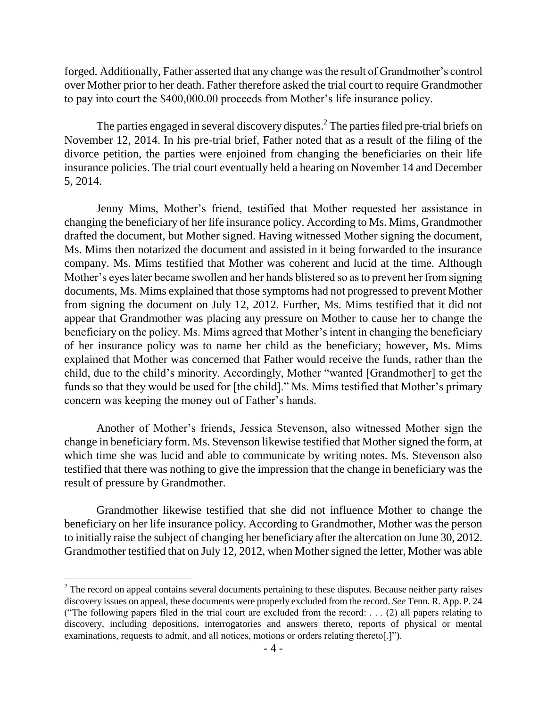forged. Additionally, Father asserted that any change was the result of Grandmother's control over Mother prior to her death. Father therefore asked the trial court to require Grandmother to pay into court the \$400,000.00 proceeds from Mother's life insurance policy.

The parties engaged in several discovery disputes.<sup>2</sup> The parties filed pre-trial briefs on November 12, 2014. In his pre-trial brief, Father noted that as a result of the filing of the divorce petition, the parties were enjoined from changing the beneficiaries on their life insurance policies. The trial court eventually held a hearing on November 14 and December 5, 2014.

Jenny Mims, Mother's friend, testified that Mother requested her assistance in changing the beneficiary of her life insurance policy. According to Ms. Mims, Grandmother drafted the document, but Mother signed. Having witnessed Mother signing the document, Ms. Mims then notarized the document and assisted in it being forwarded to the insurance company. Ms. Mims testified that Mother was coherent and lucid at the time. Although Mother's eyes later became swollen and her hands blistered so as to prevent her from signing documents, Ms. Mims explained that those symptoms had not progressed to prevent Mother from signing the document on July 12, 2012. Further, Ms. Mims testified that it did not appear that Grandmother was placing any pressure on Mother to cause her to change the beneficiary on the policy. Ms. Mims agreed that Mother's intent in changing the beneficiary of her insurance policy was to name her child as the beneficiary; however, Ms. Mims explained that Mother was concerned that Father would receive the funds, rather than the child, due to the child's minority. Accordingly, Mother "wanted [Grandmother] to get the funds so that they would be used for [the child]." Ms. Mims testified that Mother's primary concern was keeping the money out of Father's hands.

Another of Mother's friends, Jessica Stevenson, also witnessed Mother sign the change in beneficiary form. Ms. Stevenson likewise testified that Mother signed the form, at which time she was lucid and able to communicate by writing notes. Ms. Stevenson also testified that there was nothing to give the impression that the change in beneficiary was the result of pressure by Grandmother.

Grandmother likewise testified that she did not influence Mother to change the beneficiary on her life insurance policy. According to Grandmother, Mother was the person to initially raise the subject of changing her beneficiary after the altercation on June 30, 2012. Grandmother testified that on July 12, 2012, when Mother signed the letter, Mother was able

 $2<sup>2</sup>$  The record on appeal contains several documents pertaining to these disputes. Because neither party raises discovery issues on appeal, these documents were properly excluded from the record. *See* Tenn. R. App. P. 24 ("The following papers filed in the trial court are excluded from the record: . . . (2) all papers relating to discovery, including depositions, interrogatories and answers thereto, reports of physical or mental examinations, requests to admit, and all notices, motions or orders relating thereto[.]").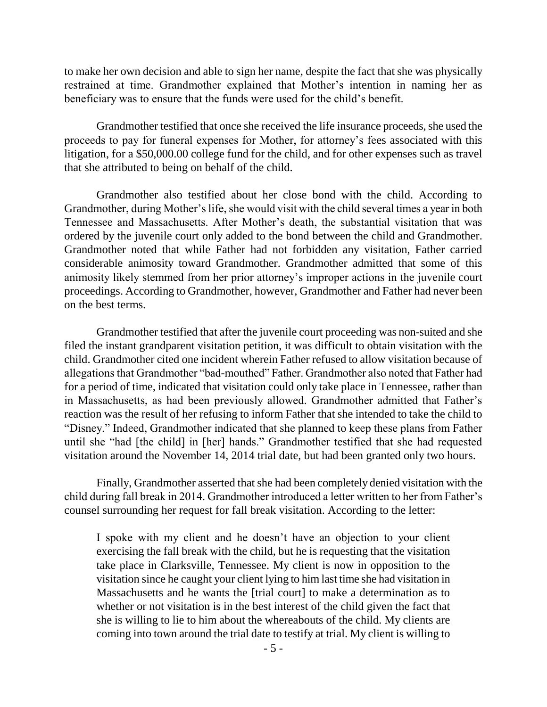to make her own decision and able to sign her name, despite the fact that she was physically restrained at time. Grandmother explained that Mother's intention in naming her as beneficiary was to ensure that the funds were used for the child's benefit.

Grandmother testified that once she received the life insurance proceeds, she used the proceeds to pay for funeral expenses for Mother, for attorney's fees associated with this litigation, for a \$50,000.00 college fund for the child, and for other expenses such as travel that she attributed to being on behalf of the child.

Grandmother also testified about her close bond with the child. According to Grandmother, during Mother's life, she would visit with the child several times a year in both Tennessee and Massachusetts. After Mother's death, the substantial visitation that was ordered by the juvenile court only added to the bond between the child and Grandmother. Grandmother noted that while Father had not forbidden any visitation, Father carried considerable animosity toward Grandmother. Grandmother admitted that some of this animosity likely stemmed from her prior attorney's improper actions in the juvenile court proceedings. According to Grandmother, however, Grandmother and Father had never been on the best terms.

Grandmother testified that after the juvenile court proceeding was non-suited and she filed the instant grandparent visitation petition, it was difficult to obtain visitation with the child. Grandmother cited one incident wherein Father refused to allow visitation because of allegations that Grandmother "bad-mouthed" Father. Grandmother also noted that Father had for a period of time, indicated that visitation could only take place in Tennessee, rather than in Massachusetts, as had been previously allowed. Grandmother admitted that Father's reaction was the result of her refusing to inform Father that she intended to take the child to "Disney." Indeed, Grandmother indicated that she planned to keep these plans from Father until she "had [the child] in [her] hands." Grandmother testified that she had requested visitation around the November 14, 2014 trial date, but had been granted only two hours.

Finally, Grandmother asserted that she had been completely denied visitation with the child during fall break in 2014. Grandmother introduced a letter written to her from Father's counsel surrounding her request for fall break visitation. According to the letter:

I spoke with my client and he doesn't have an objection to your client exercising the fall break with the child, but he is requesting that the visitation take place in Clarksville, Tennessee. My client is now in opposition to the visitation since he caught your client lying to him last time she had visitation in Massachusetts and he wants the [trial court] to make a determination as to whether or not visitation is in the best interest of the child given the fact that she is willing to lie to him about the whereabouts of the child. My clients are coming into town around the trial date to testify at trial. My client is willing to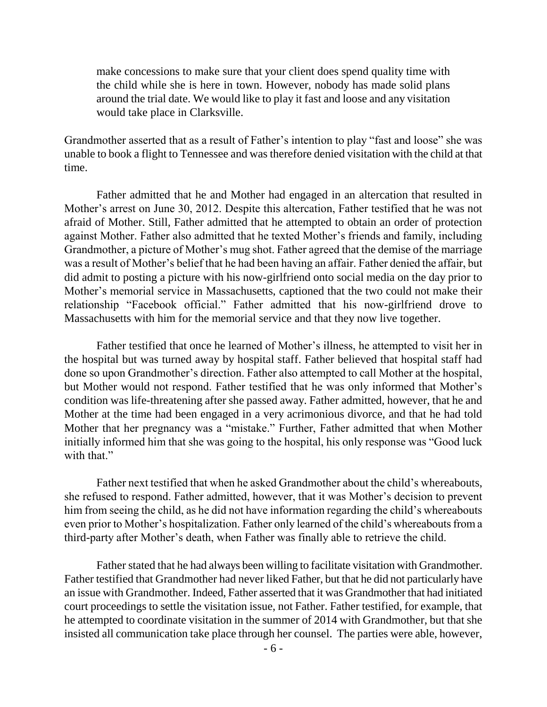make concessions to make sure that your client does spend quality time with the child while she is here in town. However, nobody has made solid plans around the trial date. We would like to play it fast and loose and any visitation would take place in Clarksville.

Grandmother asserted that as a result of Father's intention to play "fast and loose" she was unable to book a flight to Tennessee and was therefore denied visitation with the child at that time.

Father admitted that he and Mother had engaged in an altercation that resulted in Mother's arrest on June 30, 2012. Despite this altercation, Father testified that he was not afraid of Mother. Still, Father admitted that he attempted to obtain an order of protection against Mother. Father also admitted that he texted Mother's friends and family, including Grandmother, a picture of Mother's mug shot. Father agreed that the demise of the marriage was a result of Mother's belief that he had been having an affair. Father denied the affair, but did admit to posting a picture with his now-girlfriend onto social media on the day prior to Mother's memorial service in Massachusetts, captioned that the two could not make their relationship "Facebook official." Father admitted that his now-girlfriend drove to Massachusetts with him for the memorial service and that they now live together.

Father testified that once he learned of Mother's illness, he attempted to visit her in the hospital but was turned away by hospital staff. Father believed that hospital staff had done so upon Grandmother's direction. Father also attempted to call Mother at the hospital, but Mother would not respond. Father testified that he was only informed that Mother's condition was life-threatening after she passed away. Father admitted, however, that he and Mother at the time had been engaged in a very acrimonious divorce, and that he had told Mother that her pregnancy was a "mistake." Further, Father admitted that when Mother initially informed him that she was going to the hospital, his only response was "Good luck" with that."

Father next testified that when he asked Grandmother about the child's whereabouts, she refused to respond. Father admitted, however, that it was Mother's decision to prevent him from seeing the child, as he did not have information regarding the child's whereabouts even prior to Mother's hospitalization. Father only learned of the child's whereabouts from a third-party after Mother's death, when Father was finally able to retrieve the child.

Father stated that he had always been willing to facilitate visitation with Grandmother. Father testified that Grandmother had never liked Father, but that he did not particularly have an issue with Grandmother. Indeed, Father asserted that it was Grandmother that had initiated court proceedings to settle the visitation issue, not Father. Father testified, for example, that he attempted to coordinate visitation in the summer of 2014 with Grandmother, but that she insisted all communication take place through her counsel. The parties were able, however,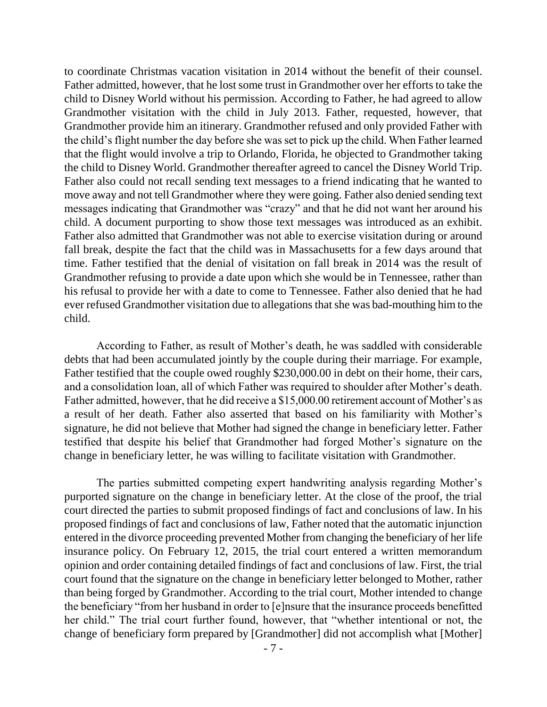to coordinate Christmas vacation visitation in 2014 without the benefit of their counsel. Father admitted, however, that he lost some trust in Grandmother over her efforts to take the child to Disney World without his permission. According to Father, he had agreed to allow Grandmother visitation with the child in July 2013. Father, requested, however, that Grandmother provide him an itinerary. Grandmother refused and only provided Father with the child's flight number the day before she was set to pick up the child. When Father learned that the flight would involve a trip to Orlando, Florida, he objected to Grandmother taking the child to Disney World. Grandmother thereafter agreed to cancel the Disney World Trip. Father also could not recall sending text messages to a friend indicating that he wanted to move away and not tell Grandmother where they were going. Father also denied sending text messages indicating that Grandmother was "crazy" and that he did not want her around his child. A document purporting to show those text messages was introduced as an exhibit. Father also admitted that Grandmother was not able to exercise visitation during or around fall break, despite the fact that the child was in Massachusetts for a few days around that time. Father testified that the denial of visitation on fall break in 2014 was the result of Grandmother refusing to provide a date upon which she would be in Tennessee, rather than his refusal to provide her with a date to come to Tennessee. Father also denied that he had ever refused Grandmother visitation due to allegations that she was bad-mouthing him to the child.

According to Father, as result of Mother's death, he was saddled with considerable debts that had been accumulated jointly by the couple during their marriage. For example, Father testified that the couple owed roughly \$230,000.00 in debt on their home, their cars, and a consolidation loan, all of which Father was required to shoulder after Mother's death. Father admitted, however, that he did receive a \$15,000.00 retirement account of Mother's as a result of her death. Father also asserted that based on his familiarity with Mother's signature, he did not believe that Mother had signed the change in beneficiary letter. Father testified that despite his belief that Grandmother had forged Mother's signature on the change in beneficiary letter, he was willing to facilitate visitation with Grandmother.

The parties submitted competing expert handwriting analysis regarding Mother's purported signature on the change in beneficiary letter. At the close of the proof, the trial court directed the parties to submit proposed findings of fact and conclusions of law. In his proposed findings of fact and conclusions of law, Father noted that the automatic injunction entered in the divorce proceeding prevented Mother from changing the beneficiary of her life insurance policy. On February 12, 2015, the trial court entered a written memorandum opinion and order containing detailed findings of fact and conclusions of law. First, the trial court found that the signature on the change in beneficiary letter belonged to Mother, rather than being forged by Grandmother. According to the trial court, Mother intended to change the beneficiary "from her husband in order to [e]nsure that the insurance proceeds benefitted her child." The trial court further found, however, that "whether intentional or not, the change of beneficiary form prepared by [Grandmother] did not accomplish what [Mother]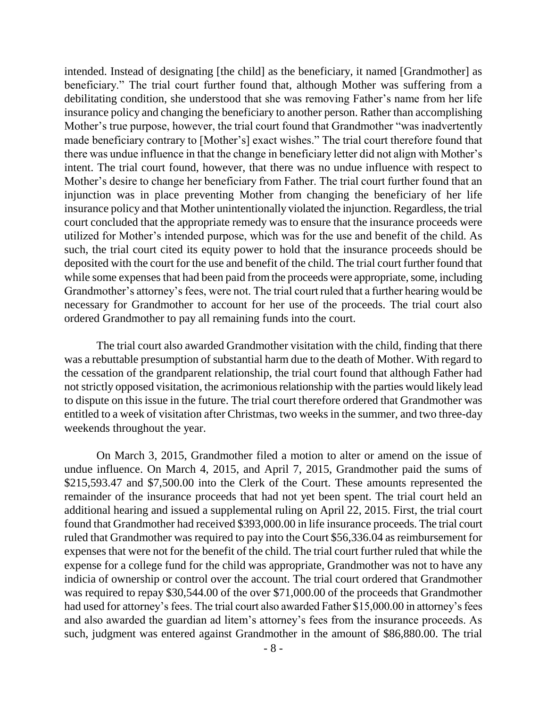intended. Instead of designating [the child] as the beneficiary, it named [Grandmother] as beneficiary." The trial court further found that, although Mother was suffering from a debilitating condition, she understood that she was removing Father's name from her life insurance policy and changing the beneficiary to another person. Rather than accomplishing Mother's true purpose, however, the trial court found that Grandmother "was inadvertently made beneficiary contrary to [Mother's] exact wishes." The trial court therefore found that there was undue influence in that the change in beneficiary letter did not align with Mother's intent. The trial court found, however, that there was no undue influence with respect to Mother's desire to change her beneficiary from Father. The trial court further found that an injunction was in place preventing Mother from changing the beneficiary of her life insurance policy and that Mother unintentionally violated the injunction. Regardless, the trial court concluded that the appropriate remedy was to ensure that the insurance proceeds were utilized for Mother's intended purpose, which was for the use and benefit of the child. As such, the trial court cited its equity power to hold that the insurance proceeds should be deposited with the court for the use and benefit of the child. The trial court further found that while some expenses that had been paid from the proceeds were appropriate, some, including Grandmother's attorney's fees, were not. The trial court ruled that a further hearing would be necessary for Grandmother to account for her use of the proceeds. The trial court also ordered Grandmother to pay all remaining funds into the court.

The trial court also awarded Grandmother visitation with the child, finding that there was a rebuttable presumption of substantial harm due to the death of Mother. With regard to the cessation of the grandparent relationship, the trial court found that although Father had not strictly opposed visitation, the acrimonious relationship with the parties would likely lead to dispute on this issue in the future. The trial court therefore ordered that Grandmother was entitled to a week of visitation after Christmas, two weeks in the summer, and two three-day weekends throughout the year.

On March 3, 2015, Grandmother filed a motion to alter or amend on the issue of undue influence. On March 4, 2015, and April 7, 2015, Grandmother paid the sums of \$215,593.47 and \$7,500.00 into the Clerk of the Court. These amounts represented the remainder of the insurance proceeds that had not yet been spent. The trial court held an additional hearing and issued a supplemental ruling on April 22, 2015. First, the trial court found that Grandmother had received \$393,000.00 in life insurance proceeds. The trial court ruled that Grandmother was required to pay into the Court \$56,336.04 as reimbursement for expenses that were not for the benefit of the child. The trial court further ruled that while the expense for a college fund for the child was appropriate, Grandmother was not to have any indicia of ownership or control over the account. The trial court ordered that Grandmother was required to repay \$30,544.00 of the over \$71,000.00 of the proceeds that Grandmother had used for attorney's fees. The trial court also awarded Father \$15,000.00 in attorney's fees and also awarded the guardian ad litem's attorney's fees from the insurance proceeds. As such, judgment was entered against Grandmother in the amount of \$86,880.00. The trial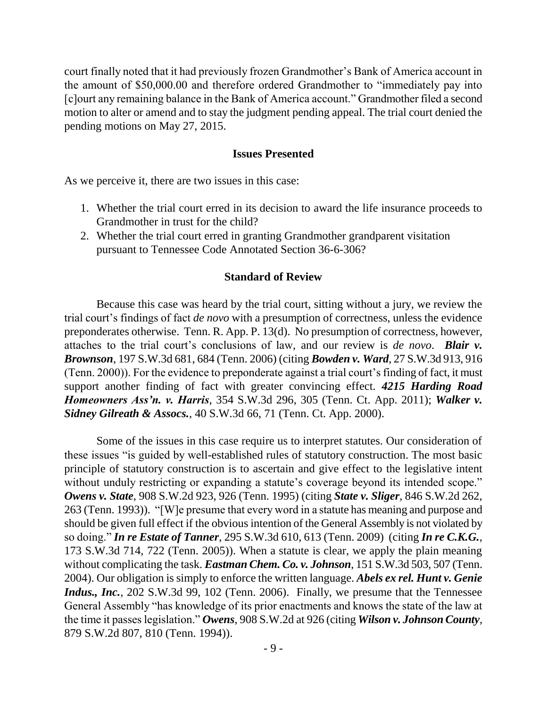court finally noted that it had previously frozen Grandmother's Bank of America account in the amount of \$50,000.00 and therefore ordered Grandmother to "immediately pay into [c]ourt any remaining balance in the Bank of America account." Grandmother filed a second motion to alter or amend and to stay the judgment pending appeal. The trial court denied the pending motions on May 27, 2015.

#### **Issues Presented**

As we perceive it, there are two issues in this case:

- 1. Whether the trial court erred in its decision to award the life insurance proceeds to Grandmother in trust for the child?
- 2. Whether the trial court erred in granting Grandmother grandparent visitation pursuant to Tennessee Code Annotated Section 36-6-306?

#### **Standard of Review**

Because this case was heard by the trial court, sitting without a jury, we review the trial court's findings of fact *de novo* with a presumption of correctness, unless the evidence preponderates otherwise. Tenn. R. App. P. 13(d). No presumption of correctness, however, attaches to the trial court's conclusions of law, and our review is *de novo*. *Blair v. Brownson*, 197 S.W.3d 681, 684 (Tenn. 2006) (citing *Bowden v. Ward*, 27 S.W.3d 913, 916 (Tenn. 2000)). For the evidence to preponderate against a trial court's finding of fact, it must support another finding of fact with greater convincing effect. *4215 Harding Road Homeowners Ass'n. v. Harris*, 354 S.W.3d 296, 305 (Tenn. Ct. App. 2011); *Walker v. Sidney Gilreath & Assocs.*, 40 S.W.3d 66, 71 (Tenn. Ct. App. 2000).

Some of the issues in this case require us to interpret statutes. Our consideration of these issues "is guided by well-established rules of statutory construction. The most basic principle of statutory construction is to ascertain and give effect to the legislative intent without unduly restricting or expanding a statute's coverage beyond its intended scope." *Owens v. State*, 908 S.W.2d 923, 926 (Tenn. 1995) (citing *State v. Sliger*, 846 S.W.2d 262, 263 (Tenn. 1993)). "[W]e presume that every word in a statute has meaning and purpose and should be given full effect if the obvious intention of the General Assembly is not violated by so doing.‖ *In re Estate of Tanner*, 295 S.W.3d 610, 613 (Tenn. 2009) (citing *In re C.K.G.*, 173 S.W.3d 714, 722 (Tenn. 2005)). When a statute is clear, we apply the plain meaning without complicating the task. *Eastman Chem. Co. v. Johnson*, 151 S.W.3d 503, 507 (Tenn. 2004). Our obligation is simply to enforce the written language. *Abels ex rel. Hunt v. Genie Indus., Inc.*, 202 S.W.3d 99, 102 (Tenn. 2006). Finally, we presume that the Tennessee General Assembly "has knowledge of its prior enactments and knows the state of the law at the time it passes legislation.‖ *Owens*, 908 S.W.2d at 926 (citing *Wilson v. Johnson County*, 879 S.W.2d 807, 810 (Tenn. 1994)).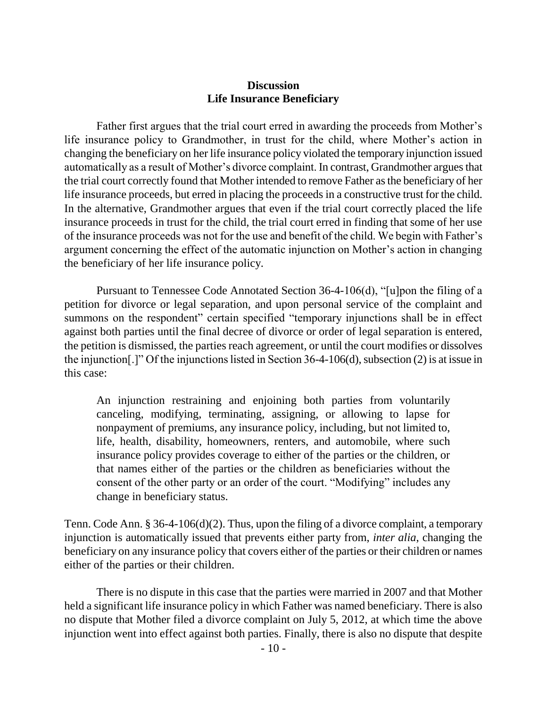### **Discussion Life Insurance Beneficiary**

Father first argues that the trial court erred in awarding the proceeds from Mother's life insurance policy to Grandmother, in trust for the child, where Mother's action in changing the beneficiary on her life insurance policy violated the temporary injunction issued automatically as a result of Mother's divorce complaint. In contrast, Grandmother argues that the trial court correctly found that Mother intended to remove Father as the beneficiary of her life insurance proceeds, but erred in placing the proceeds in a constructive trust for the child. In the alternative, Grandmother argues that even if the trial court correctly placed the life insurance proceeds in trust for the child, the trial court erred in finding that some of her use of the insurance proceeds was not for the use and benefit of the child. We begin with Father's argument concerning the effect of the automatic injunction on Mother's action in changing the beneficiary of her life insurance policy.

Pursuant to Tennessee Code Annotated Section 36-4-106(d), "[u]pon the filing of a petition for divorce or legal separation, and upon personal service of the complaint and summons on the respondent" certain specified "temporary injunctions shall be in effect against both parties until the final decree of divorce or order of legal separation is entered, the petition is dismissed, the parties reach agreement, or until the court modifies or dissolves the injunction[.]" Of the injunctions listed in Section 36-4-106(d), subsection (2) is at issue in this case:

An injunction restraining and enjoining both parties from voluntarily canceling, modifying, terminating, assigning, or allowing to lapse for nonpayment of premiums, any insurance policy, including, but not limited to, life, health, disability, homeowners, renters, and automobile, where such insurance policy provides coverage to either of the parties or the children, or that names either of the parties or the children as beneficiaries without the consent of the other party or an order of the court. "Modifying" includes any change in beneficiary status.

Tenn. Code Ann. § 36-4-106(d)(2). Thus, upon the filing of a divorce complaint, a temporary injunction is automatically issued that prevents either party from, *inter alia*, changing the beneficiary on any insurance policy that covers either of the parties or their children or names either of the parties or their children.

There is no dispute in this case that the parties were married in 2007 and that Mother held a significant life insurance policy in which Father was named beneficiary. There is also no dispute that Mother filed a divorce complaint on July 5, 2012, at which time the above injunction went into effect against both parties. Finally, there is also no dispute that despite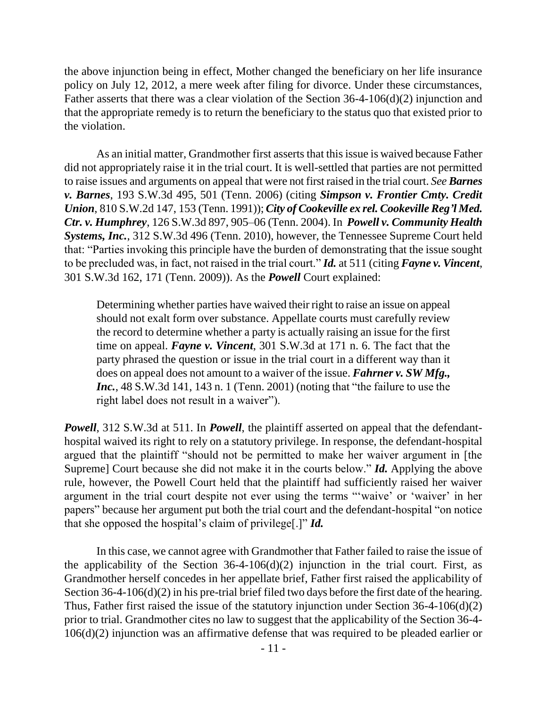the above injunction being in effect, Mother changed the beneficiary on her life insurance policy on July 12, 2012, a mere week after filing for divorce. Under these circumstances, Father asserts that there was a clear violation of the Section 36-4-106(d)(2) injunction and that the appropriate remedy is to return the beneficiary to the status quo that existed prior to the violation.

As an initial matter, Grandmother first asserts that this issue is waived because Father did not appropriately raise it in the trial court. It is well-settled that parties are not permitted to raise issues and arguments on appeal that were not first raised in the trial court. *See Barnes v. Barnes*, 193 S.W.3d 495, 501 (Tenn. 2006) (citing *Simpson v. Frontier Cmty. Credit Union*, 810 S.W.2d 147, 153 (Tenn. 1991)); *City of Cookeville ex rel. Cookeville Reg'l Med. Ctr. v. Humphrey*, 126 S.W.3d 897, 905–06 (Tenn. 2004). In *Powell v. Community Health Systems, Inc.*, 312 S.W.3d 496 (Tenn. 2010), however, the Tennessee Supreme Court held that: "Parties invoking this principle have the burden of demonstrating that the issue sought to be precluded was, in fact, not raised in the trial court." *Id.* at 511 (citing *Fayne v. Vincent*, 301 S.W.3d 162, 171 (Tenn. 2009)). As the *Powell* Court explained:

Determining whether parties have waived their right to raise an issue on appeal should not exalt form over substance. Appellate courts must carefully review the record to determine whether a party is actually raising an issue for the first time on appeal. *Fayne v. Vincent*, 301 S.W.3d at 171 n. 6. The fact that the party phrased the question or issue in the trial court in a different way than it does on appeal does not amount to a waiver of the issue. *Fahrner v. SW Mfg., Inc.*,  $48$  S.W.3d 141, 143 n. 1 (Tenn. 2001) (noting that "the failure to use the right label does not result in a waiver").

*Powell*, 312 S.W.3d at 511. In *Powell*, the plaintiff asserted on appeal that the defendanthospital waived its right to rely on a statutory privilege. In response, the defendant-hospital argued that the plaintiff "should not be permitted to make her waiver argument in [the Supreme] Court because she did not make it in the courts below." *Id.* Applying the above rule, however, the Powell Court held that the plaintiff had sufficiently raised her waiver argument in the trial court despite not ever using the terms "waive" or 'waiver' in her papers" because her argument put both the trial court and the defendant-hospital "on notice" that she opposed the hospital's claim of privilege[.]" *Id.* 

In this case, we cannot agree with Grandmother that Father failed to raise the issue of the applicability of the Section  $36-4-106(d)(2)$  injunction in the trial court. First, as Grandmother herself concedes in her appellate brief, Father first raised the applicability of Section 36-4-106(d)(2) in his pre-trial brief filed two days before the first date of the hearing. Thus, Father first raised the issue of the statutory injunction under Section 36-4-106(d)(2) prior to trial. Grandmother cites no law to suggest that the applicability of the Section 36-4- 106(d)(2) injunction was an affirmative defense that was required to be pleaded earlier or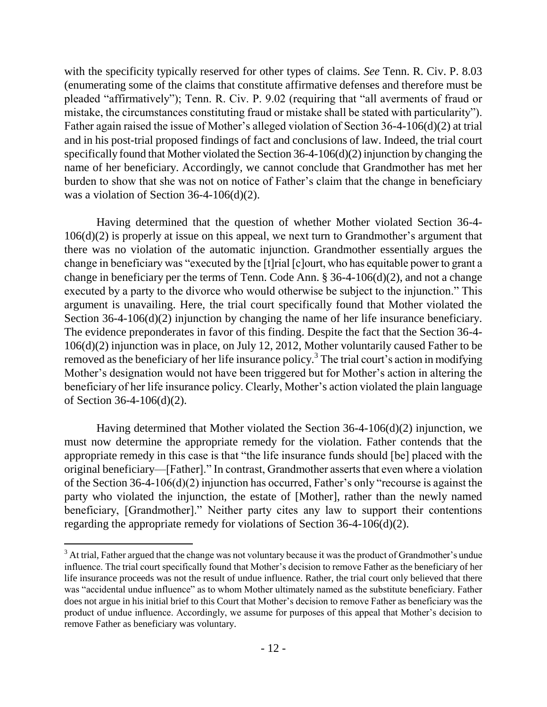with the specificity typically reserved for other types of claims. *See* Tenn. R. Civ. P. 8.03 (enumerating some of the claims that constitute affirmative defenses and therefore must be pleaded "affirmatively"); Tenn. R. Civ. P. 9.02 (requiring that "all averments of fraud or mistake, the circumstances constituting fraud or mistake shall be stated with particularity". Father again raised the issue of Mother's alleged violation of Section 36-4-106(d)(2) at trial and in his post-trial proposed findings of fact and conclusions of law. Indeed, the trial court specifically found that Mother violated the Section 36-4-106(d)(2) injunction by changing the name of her beneficiary. Accordingly, we cannot conclude that Grandmother has met her burden to show that she was not on notice of Father's claim that the change in beneficiary was a violation of Section 36-4-106(d)(2).

Having determined that the question of whether Mother violated Section 36-4- 106(d)(2) is properly at issue on this appeal, we next turn to Grandmother's argument that there was no violation of the automatic injunction. Grandmother essentially argues the change in beneficiary was "executed by the [t]rial [c]ourt, who has equitable power to grant a change in beneficiary per the terms of Tenn. Code Ann.  $\S 36-4-106(d)(2)$ , and not a change executed by a party to the divorce who would otherwise be subject to the injunction." This argument is unavailing. Here, the trial court specifically found that Mother violated the Section 36-4-106(d)(2) injunction by changing the name of her life insurance beneficiary. The evidence preponderates in favor of this finding. Despite the fact that the Section 36-4- 106(d)(2) injunction was in place, on July 12, 2012, Mother voluntarily caused Father to be removed as the beneficiary of her life insurance policy.<sup>3</sup> The trial court's action in modifying Mother's designation would not have been triggered but for Mother's action in altering the beneficiary of her life insurance policy. Clearly, Mother's action violated the plain language of Section 36-4-106(d)(2).

Having determined that Mother violated the Section 36-4-106(d)(2) injunction, we must now determine the appropriate remedy for the violation. Father contends that the appropriate remedy in this case is that "the life insurance funds should [be] placed with the original beneficiary—[Father]." In contrast, Grandmother asserts that even where a violation of the Section 36-4-106(d)(2) injunction has occurred, Father's only "recourse is against the party who violated the injunction, the estate of [Mother], rather than the newly named beneficiary, [Grandmother]." Neither party cites any law to support their contentions regarding the appropriate remedy for violations of Section 36-4-106(d)(2).

 $\overline{a}$ 

<sup>&</sup>lt;sup>3</sup> At trial, Father argued that the change was not voluntary because it was the product of Grandmother's undue influence. The trial court specifically found that Mother's decision to remove Father as the beneficiary of her life insurance proceeds was not the result of undue influence. Rather, the trial court only believed that there was "accidental undue influence" as to whom Mother ultimately named as the substitute beneficiary. Father does not argue in his initial brief to this Court that Mother's decision to remove Father as beneficiary was the product of undue influence. Accordingly, we assume for purposes of this appeal that Mother's decision to remove Father as beneficiary was voluntary.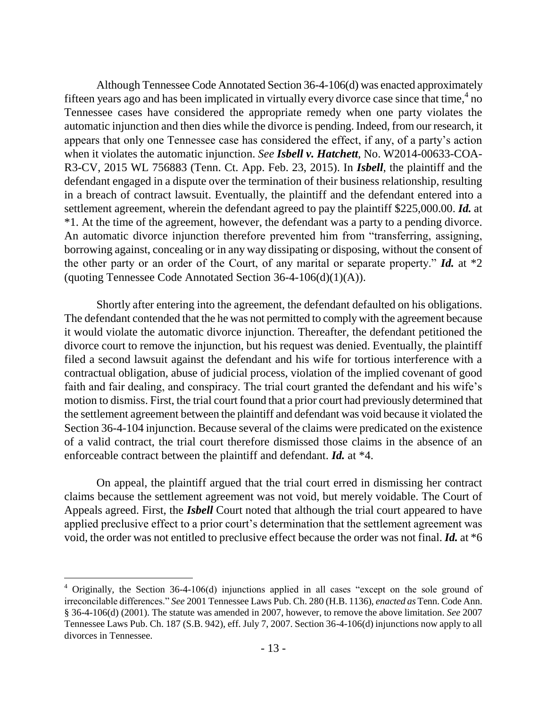Although Tennessee Code Annotated Section 36-4-106(d) was enacted approximately fifteen years ago and has been implicated in virtually every divorce case since that time,  $4\overline{p}$  no Tennessee cases have considered the appropriate remedy when one party violates the automatic injunction and then dies while the divorce is pending. Indeed, from our research, it appears that only one Tennessee case has considered the effect, if any, of a party's action when it violates the automatic injunction. *See Isbell v. Hatchett*, No. W2014-00633-COA-R3-CV, 2015 WL 756883 (Tenn. Ct. App. Feb. 23, 2015). In *Isbell*, the plaintiff and the defendant engaged in a dispute over the termination of their business relationship, resulting in a breach of contract lawsuit. Eventually, the plaintiff and the defendant entered into a settlement agreement, wherein the defendant agreed to pay the plaintiff \$225,000.00. *Id.* at \*1. At the time of the agreement, however, the defendant was a party to a pending divorce. An automatic divorce injunction therefore prevented him from "transferring, assigning, borrowing against, concealing or in any way dissipating or disposing, without the consent of the other party or an order of the Court, of any marital or separate property." **Id.** at  $*2$ (quoting Tennessee Code Annotated Section  $36-4-106(d)(1)(A)$ ).

Shortly after entering into the agreement, the defendant defaulted on his obligations. The defendant contended that the he was not permitted to comply with the agreement because it would violate the automatic divorce injunction. Thereafter, the defendant petitioned the divorce court to remove the injunction, but his request was denied. Eventually, the plaintiff filed a second lawsuit against the defendant and his wife for tortious interference with a contractual obligation, abuse of judicial process, violation of the implied covenant of good faith and fair dealing, and conspiracy. The trial court granted the defendant and his wife's motion to dismiss. First, the trial court found that a prior court had previously determined that the settlement agreement between the plaintiff and defendant was void because it violated the Section 36-4-104 injunction. Because several of the claims were predicated on the existence of a valid contract, the trial court therefore dismissed those claims in the absence of an enforceable contract between the plaintiff and defendant. *Id.* at \*4.

On appeal, the plaintiff argued that the trial court erred in dismissing her contract claims because the settlement agreement was not void, but merely voidable. The Court of Appeals agreed. First, the *Isbell* Court noted that although the trial court appeared to have applied preclusive effect to a prior court's determination that the settlement agreement was void, the order was not entitled to preclusive effect because the order was not final. *Id.* at \*6

 $4$  Originally, the Section 36-4-106(d) injunctions applied in all cases "except on the sole ground of irreconcilable differences.‖ *See* 2001 Tennessee Laws Pub. Ch. 280 (H.B. 1136), *enacted as* Tenn. Code Ann. § 36-4-106(d) (2001). The statute was amended in 2007, however, to remove the above limitation. *See* 2007 Tennessee Laws Pub. Ch. 187 (S.B. 942), eff. July 7, 2007. Section 36-4-106(d) injunctions now apply to all divorces in Tennessee.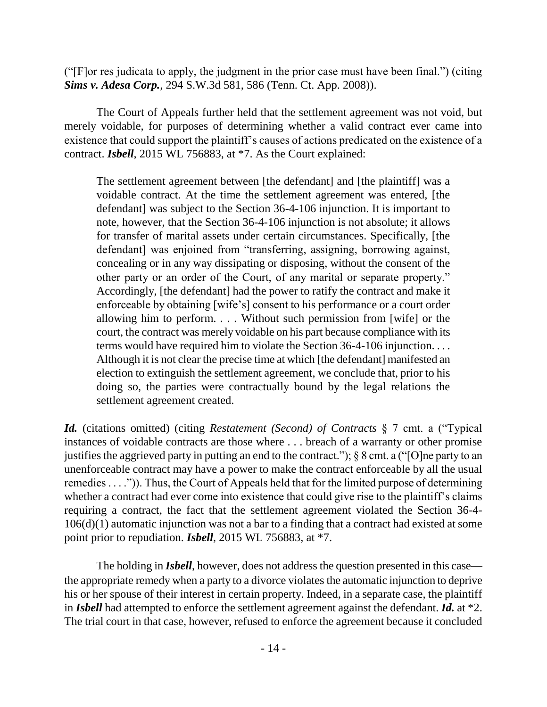(" $[$ F $]$ or res judicata to apply, the judgment in the prior case must have been final." $)$  (citing) *Sims v. Adesa Corp.*, 294 S.W.3d 581, 586 (Tenn. Ct. App. 2008)).

The Court of Appeals further held that the settlement agreement was not void, but merely voidable, for purposes of determining whether a valid contract ever came into existence that could support the plaintiff's causes of actions predicated on the existence of a contract. *Isbell*, 2015 WL 756883, at \*7. As the Court explained:

The settlement agreement between [the defendant] and [the plaintiff] was a voidable contract. At the time the settlement agreement was entered, [the defendant] was subject to the Section 36-4-106 injunction. It is important to note, however, that the Section 36-4-106 injunction is not absolute; it allows for transfer of marital assets under certain circumstances. Specifically, [the defendant] was enjoined from "transferring, assigning, borrowing against, concealing or in any way dissipating or disposing, without the consent of the other party or an order of the Court, of any marital or separate property." Accordingly, [the defendant] had the power to ratify the contract and make it enforceable by obtaining [wife's] consent to his performance or a court order allowing him to perform. *. . .* Without such permission from [wife] or the court, the contract was merely voidable on his part because compliance with its terms would have required him to violate the Section 36-4-106 injunction. . . . Although it is not clear the precise time at which [the defendant] manifested an election to extinguish the settlement agreement, we conclude that, prior to his doing so, the parties were contractually bound by the legal relations the settlement agreement created.

*Id.* (citations omitted) (citing *Restatement (Second) of Contracts* § 7 cmt. a ("Typical instances of voidable contracts are those where . . . breach of a warranty or other promise justifies the aggrieved party in putting an end to the contract.");  $\S$  8 cmt. a ("[O]ne party to an unenforceable contract may have a power to make the contract enforceable by all the usual remedies  $\dots$ .")). Thus, the Court of Appeals held that for the limited purpose of determining whether a contract had ever come into existence that could give rise to the plaintiff's claims requiring a contract, the fact that the settlement agreement violated the Section 36-4- 106(d)(1) automatic injunction was not a bar to a finding that a contract had existed at some point prior to repudiation. *Isbell*, 2015 WL 756883, at \*7.

The holding in *Isbell*, however, does not address the question presented in this case the appropriate remedy when a party to a divorce violates the automatic injunction to deprive his or her spouse of their interest in certain property. Indeed, in a separate case, the plaintiff in *Isbell* had attempted to enforce the settlement agreement against the defendant. *Id.* at \*2. The trial court in that case, however, refused to enforce the agreement because it concluded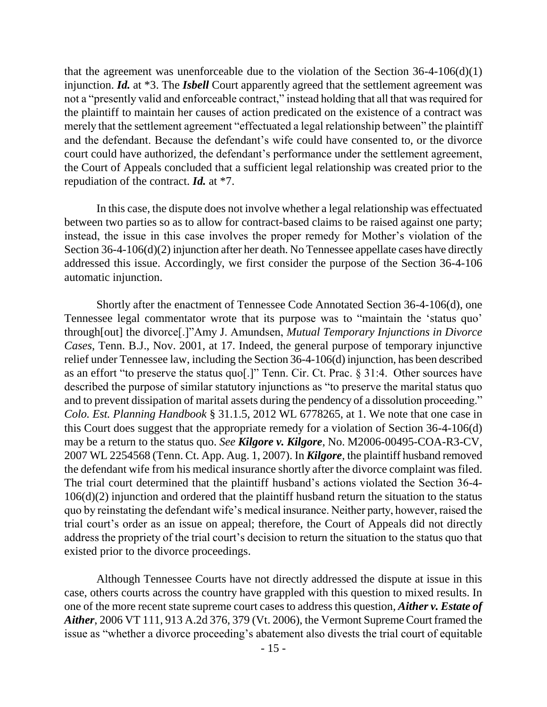that the agreement was unenforceable due to the violation of the Section  $36-4-106(d)(1)$ injunction. *Id.* at \*3. The *Isbell* Court apparently agreed that the settlement agreement was not a "presently valid and enforceable contract," instead holding that all that was required for the plaintiff to maintain her causes of action predicated on the existence of a contract was merely that the settlement agreement "effectuated a legal relationship between" the plaintiff and the defendant. Because the defendant's wife could have consented to, or the divorce court could have authorized, the defendant's performance under the settlement agreement, the Court of Appeals concluded that a sufficient legal relationship was created prior to the repudiation of the contract. *Id.* at \*7.

In this case, the dispute does not involve whether a legal relationship was effectuated between two parties so as to allow for contract-based claims to be raised against one party; instead, the issue in this case involves the proper remedy for Mother's violation of the Section 36-4-106(d)(2) injunction after her death. No Tennessee appellate cases have directly addressed this issue. Accordingly, we first consider the purpose of the Section 36-4-106 automatic injunction.

Shortly after the enactment of Tennessee Code Annotated Section 36-4-106(d), one Tennessee legal commentator wrote that its purpose was to "maintain the 'status quo' through[out] the divorce[.]"Amy J. Amundsen, *Mutual Temporary Injunctions in Divorce Cases*, Tenn. B.J., Nov. 2001, at 17. Indeed, the general purpose of temporary injunctive relief under Tennessee law, including the Section 36-4-106(d) injunction, has been described as an effort "to preserve the status quo[.]" Tenn. Cir. Ct. Prac.  $\S 31:4$ . Other sources have described the purpose of similar statutory injunctions as "to preserve the marital status quo and to prevent dissipation of marital assets during the pendency of a dissolution proceeding." *Colo. Est. Planning Handbook* § 31.1.5, 2012 WL 6778265, at 1. We note that one case in this Court does suggest that the appropriate remedy for a violation of Section 36-4-106(d) may be a return to the status quo. *See Kilgore v. Kilgore*, No. M2006-00495-COA-R3-CV, 2007 WL 2254568 (Tenn. Ct. App. Aug. 1, 2007). In *Kilgore*, the plaintiff husband removed the defendant wife from his medical insurance shortly after the divorce complaint was filed. The trial court determined that the plaintiff husband's actions violated the Section 36-4- 106(d)(2) injunction and ordered that the plaintiff husband return the situation to the status quo by reinstating the defendant wife's medical insurance. Neither party, however, raised the trial court's order as an issue on appeal; therefore, the Court of Appeals did not directly address the propriety of the trial court's decision to return the situation to the status quo that existed prior to the divorce proceedings.

Although Tennessee Courts have not directly addressed the dispute at issue in this case, others courts across the country have grappled with this question to mixed results. In one of the more recent state supreme court casesto address this question, *Aither v. Estate of Aither*, 2006 VT 111, 913 A.2d 376, 379 (Vt. 2006), the Vermont Supreme Court framed the issue as "whether a divorce proceeding's abatement also divests the trial court of equitable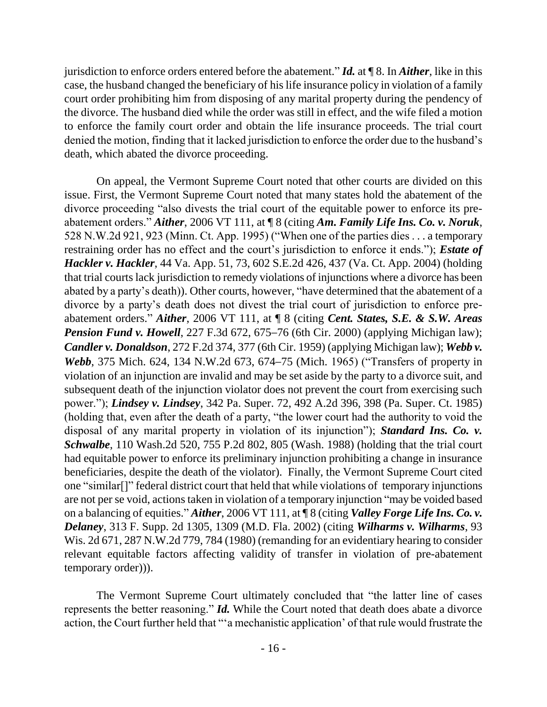jurisdiction to enforce orders entered before the abatement.‖ *Id.* at ¶ 8. In *Aither*, like in this case, the husband changed the beneficiary of his life insurance policy in violation of a family court order prohibiting him from disposing of any marital property during the pendency of the divorce. The husband died while the order was still in effect, and the wife filed a motion to enforce the family court order and obtain the life insurance proceeds. The trial court denied the motion, finding that it lacked jurisdiction to enforce the order due to the husband's death, which abated the divorce proceeding.

On appeal, the Vermont Supreme Court noted that other courts are divided on this issue. First, the Vermont Supreme Court noted that many states hold the abatement of the divorce proceeding "also divests the trial court of the equitable power to enforce its preabatement orders.‖ *Aither*, 2006 VT 111, at ¶ 8 (citing *Am. Family Life Ins. Co. v. Noruk*, 528 N.W.2d 921, 923 (Minn. Ct. App. 1995) ("When one of the parties dies  $\dots$  a temporary restraining order has no effect and the court's jurisdiction to enforce it ends."); *Estate of Hackler v. Hackler*, 44 Va. App. 51, 73, 602 S.E.2d 426, 437 (Va. Ct. App. 2004) (holding that trial courts lack jurisdiction to remedy violations of injunctions where a divorce has been abated by a party's death)). Other courts, however, "have determined that the abatement of a divorce by a party's death does not divest the trial court of jurisdiction to enforce preabatement orders.‖ *Aither*, 2006 VT 111, at ¶ 8 (citing *Cent. States, S.E. & S.W. Areas*  **Pension Fund v. Howell**, 227 F.3d 672, 675–76 (6th Cir. 2000) (applying Michigan law); *Candler v. Donaldson*, 272 F.2d 374, 377 (6th Cir. 1959) (applying Michigan law); *Webb v. Webb*, 375 Mich. 624, 134 N.W.2d 673, 674–75 (Mich. 1965) ("Transfers of property in violation of an injunction are invalid and may be set aside by the party to a divorce suit, and subsequent death of the injunction violator does not prevent the court from exercising such power.‖); *Lindsey v. Lindsey*, 342 Pa. Super. 72, 492 A.2d 396, 398 (Pa. Super. Ct. 1985) (holding that, even after the death of a party, "the lower court had the authority to void the disposal of any marital property in violation of its injunction"); *Standard Ins. Co. v. Schwalbe*, 110 Wash.2d 520, 755 P.2d 802, 805 (Wash. 1988) (holding that the trial court had equitable power to enforce its preliminary injunction prohibiting a change in insurance beneficiaries, despite the death of the violator). Finally, the Vermont Supreme Court cited one "similar[]" federal district court that held that while violations of temporary injunctions are not per se void, actions taken in violation of a temporary injunction "may be voided based on a balancing of equities." *Aither*, 2006 VT 111, at ¶ 8 (citing *Valley Forge Life Ins. Co. v. Delaney*, 313 F. Supp. 2d 1305, 1309 (M.D. Fla. 2002) (citing *Wilharms v. Wilharms*, 93 Wis. 2d 671, 287 N.W.2d 779, 784 (1980) (remanding for an evidentiary hearing to consider relevant equitable factors affecting validity of transfer in violation of pre-abatement temporary order))).

The Vermont Supreme Court ultimately concluded that "the latter line of cases" represents the better reasoning." *Id.* While the Court noted that death does abate a divorce action, the Court further held that "'a mechanistic application' of that rule would frustrate the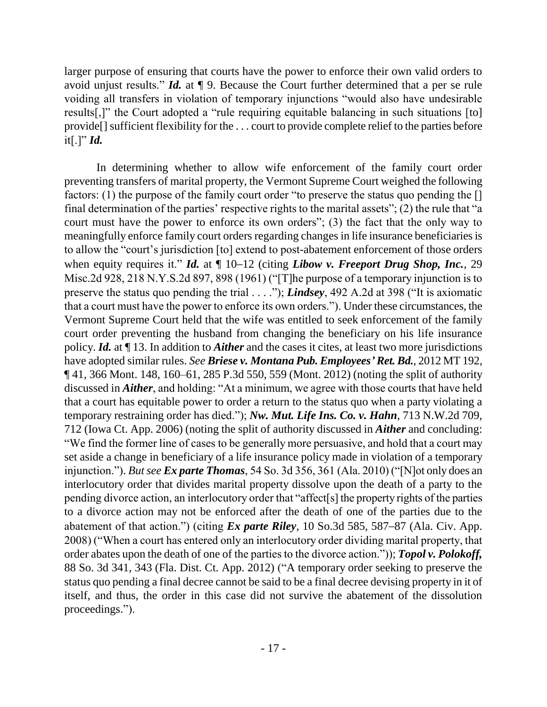larger purpose of ensuring that courts have the power to enforce their own valid orders to avoid unjust results." *Id.* at  $\P$  9. Because the Court further determined that a per se rule voiding all transfers in violation of temporary injunctions "would also have undesirable results[,]" the Court adopted a "rule requiring equitable balancing in such situations [to] provide[] sufficient flexibility for the . . . court to provide complete relief to the parties before it[.]"  $Id.$ 

In determining whether to allow wife enforcement of the family court order preventing transfers of marital property, the Vermont Supreme Court weighed the following factors: (1) the purpose of the family court order "to preserve the status quo pending the  $[]$ final determination of the parties' respective rights to the marital assets";  $(2)$  the rule that "a court must have the power to enforce its own orders"; (3) the fact that the only way to meaningfully enforce family court orders regarding changes in life insurance beneficiaries is to allow the "court's jurisdiction [to] extend to post-abatement enforcement of those orders when equity requires it." *Id.* at  $\P$  10–12 (citing *Libow v. Freeport Drug Shop, Inc.*, 29 Misc.2d 928, 218 N.Y.S.2d 897, 898 (1961) ("[T]he purpose of a temporary injunction is to preserve the status quo pending the trial . . . ."); *Lindsey*, 492 A.2d at 398 ("It is axiomatic that a court must have the power to enforce its own orders."). Under these circumstances, the Vermont Supreme Court held that the wife was entitled to seek enforcement of the family court order preventing the husband from changing the beneficiary on his life insurance policy. *Id.* at ¶ 13. In addition to *Aither* and the cases it cites, at least two more jurisdictions have adopted similar rules. *See Briese v. Montana Pub. Employees' Ret. Bd.*, 2012 MT 192, ¶ 41, 366 Mont. 148, 160–61, 285 P.3d 550, 559 (Mont. 2012) (noting the split of authority discussed in *Aither*, and holding: "At a minimum, we agree with those courts that have held that a court has equitable power to order a return to the status quo when a party violating a temporary restraining order has died."); *Nw. Mut. Life Ins. Co. v. Hahn*, 713 N.W.2d 709, 712 (Iowa Ct. App. 2006) (noting the split of authority discussed in *Aither* and concluding: ―We find the former line of cases to be generally more persuasive, and hold that a court may set aside a change in beneficiary of a life insurance policy made in violation of a temporary injunction."). *But see Ex parte Thomas*, 54 So. 3d 356, 361 (Ala. 2010) ("[N]ot only does an interlocutory order that divides marital property dissolve upon the death of a party to the pending divorce action, an interlocutory order that "affect[s] the property rights of the parties to a divorce action may not be enforced after the death of one of the parties due to the abatement of that action.") (citing *Ex parte Riley*, 10 So.3d 585, 587–87 (Ala. Civ. App. 2008) ("When a court has entered only an interlocutory order dividing marital property, that order abates upon the death of one of the parties to the divorce action.")); **Topol v. Polokoff**, 88 So. 3d 341, 343 (Fla. Dist. Ct. App. 2012) ("A temporary order seeking to preserve the status quo pending a final decree cannot be said to be a final decree devising property in it of itself, and thus, the order in this case did not survive the abatement of the dissolution proceedings.").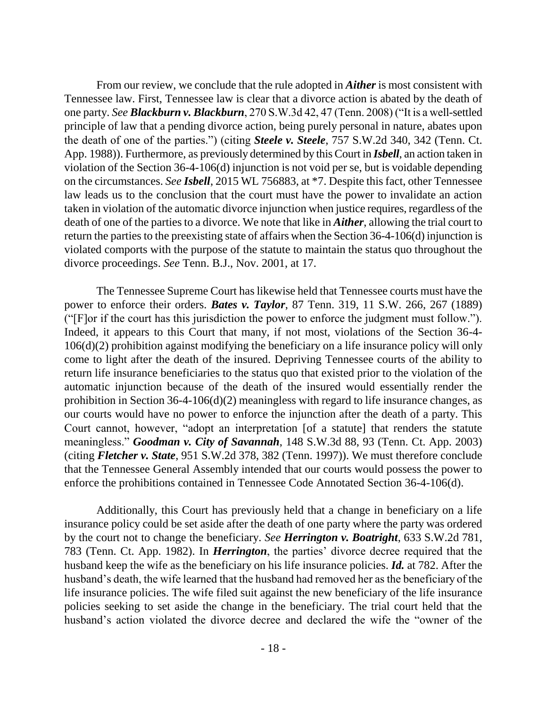From our review, we conclude that the rule adopted in *Aither* is most consistent with Tennessee law. First, Tennessee law is clear that a divorce action is abated by the death of one party. *See Blackburn v. Blackburn*, 270 S.W.3d 42, 47 (Tenn. 2008) ("It is a well-settled principle of law that a pending divorce action, being purely personal in nature, abates upon the death of one of the parties.‖) (citing *Steele v. Steele*, 757 S.W.2d 340, 342 (Tenn. Ct. App. 1988)). Furthermore, as previously determined by this Court in *Isbell*, an action taken in violation of the Section 36-4-106(d) injunction is not void per se, but is voidable depending on the circumstances. *See Isbell*, 2015 WL 756883, at \*7. Despite this fact, other Tennessee law leads us to the conclusion that the court must have the power to invalidate an action taken in violation of the automatic divorce injunction when justice requires, regardless of the death of one of the parties to a divorce. We note that like in *Aither*, allowing the trial court to return the parties to the preexisting state of affairs when the Section 36-4-106(d) injunction is violated comports with the purpose of the statute to maintain the status quo throughout the divorce proceedings. *See* Tenn. B.J., Nov. 2001, at 17.

The Tennessee Supreme Court has likewise held that Tennessee courts must have the power to enforce their orders. *Bates v. Taylor*, 87 Tenn. 319, 11 S.W. 266, 267 (1889) (" $[$ F $]$ or if the court has this jurisdiction the power to enforce the judgment must follow."). Indeed, it appears to this Court that many, if not most, violations of the Section 36-4- 106(d)(2) prohibition against modifying the beneficiary on a life insurance policy will only come to light after the death of the insured. Depriving Tennessee courts of the ability to return life insurance beneficiaries to the status quo that existed prior to the violation of the automatic injunction because of the death of the insured would essentially render the prohibition in Section 36-4-106(d)(2) meaningless with regard to life insurance changes, as our courts would have no power to enforce the injunction after the death of a party. This Court cannot, however, "adopt an interpretation [of a statute] that renders the statute meaningless.‖ *Goodman v. City of Savannah*, 148 S.W.3d 88, 93 (Tenn. Ct. App. 2003) (citing *Fletcher v. State*, 951 S.W.2d 378, 382 (Tenn. 1997)). We must therefore conclude that the Tennessee General Assembly intended that our courts would possess the power to enforce the prohibitions contained in Tennessee Code Annotated Section 36-4-106(d).

Additionally, this Court has previously held that a change in beneficiary on a life insurance policy could be set aside after the death of one party where the party was ordered by the court not to change the beneficiary. *See Herrington v. Boatright*, 633 S.W.2d 781, 783 (Tenn. Ct. App. 1982). In *Herrington*, the parties' divorce decree required that the husband keep the wife as the beneficiary on his life insurance policies. *Id.* at 782. After the husband's death, the wife learned that the husband had removed her as the beneficiary of the life insurance policies. The wife filed suit against the new beneficiary of the life insurance policies seeking to set aside the change in the beneficiary. The trial court held that the husband's action violated the divorce decree and declared the wife the "owner of the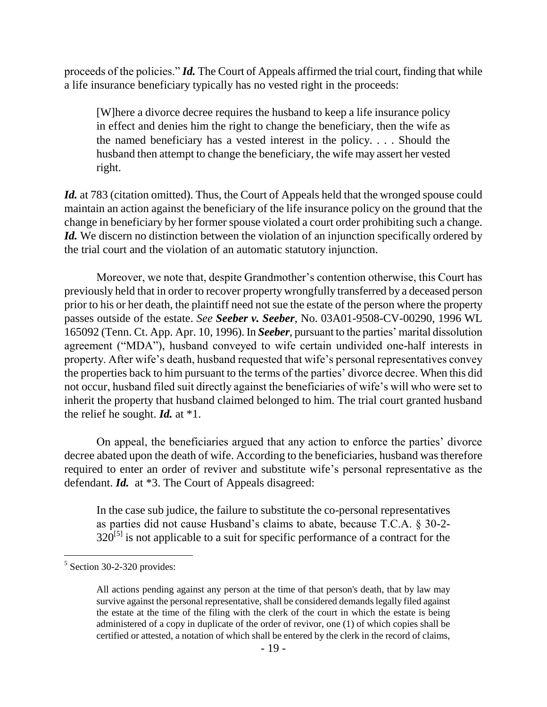proceeds of the policies." *Id.* The Court of Appeals affirmed the trial court, finding that while a life insurance beneficiary typically has no vested right in the proceeds:

[W]here a divorce decree requires the husband to keep a life insurance policy in effect and denies him the right to change the beneficiary, then the wife as the named beneficiary has a vested interest in the policy. . . . Should the husband then attempt to change the beneficiary, the wife may assert her vested right.

Id. at 783 (citation omitted). Thus, the Court of Appeals held that the wronged spouse could maintain an action against the beneficiary of the life insurance policy on the ground that the change in beneficiary by her former spouse violated a court order prohibiting such a change. *Id.* We discern no distinction between the violation of an injunction specifically ordered by the trial court and the violation of an automatic statutory injunction.

Moreover, we note that, despite Grandmother's contention otherwise, this Court has previously held that in order to recover property wrongfully transferred by a deceased person prior to his or her death, the plaintiff need not sue the estate of the person where the property passes outside of the estate. *See Seeber v. Seeber*, No. 03A01-9508-CV-00290, 1996 WL 165092 (Tenn. Ct. App. Apr. 10, 1996). In *Seeber*, pursuant to the parties' marital dissolution agreement ("MDA"), husband conveyed to wife certain undivided one-half interests in property. After wife's death, husband requested that wife's personal representatives convey the properties back to him pursuant to the terms of the parties' divorce decree. When this did not occur, husband filed suit directly against the beneficiaries of wife's will who were set to inherit the property that husband claimed belonged to him. The trial court granted husband the relief he sought. *Id.* at \*1.

On appeal, the beneficiaries argued that any action to enforce the parties' divorce decree abated upon the death of wife. According to the beneficiaries, husband was therefore required to enter an order of reviver and substitute wife's personal representative as the defendant. *Id.* at \*3. The Court of Appeals disagreed:

In the case sub judice, the failure to substitute the co-personal representatives as parties did not cause Husband's claims to abate, because T.C.A. § 30-2-  $320^{5}$  is not applicable to a suit for specific performance of a contract for the

 $\overline{a}$ 

<sup>&</sup>lt;sup>5</sup> Section 30-2-320 provides:

All actions pending against any person at the time of that person's death, that by law may survive against the personal representative, shall be considered demands legally filed against the estate at the time of the filing with the clerk of the court in which the estate is being administered of a copy in duplicate of the order of revivor, one (1) of which copies shall be certified or attested, a notation of which shall be entered by the clerk in the record of claims,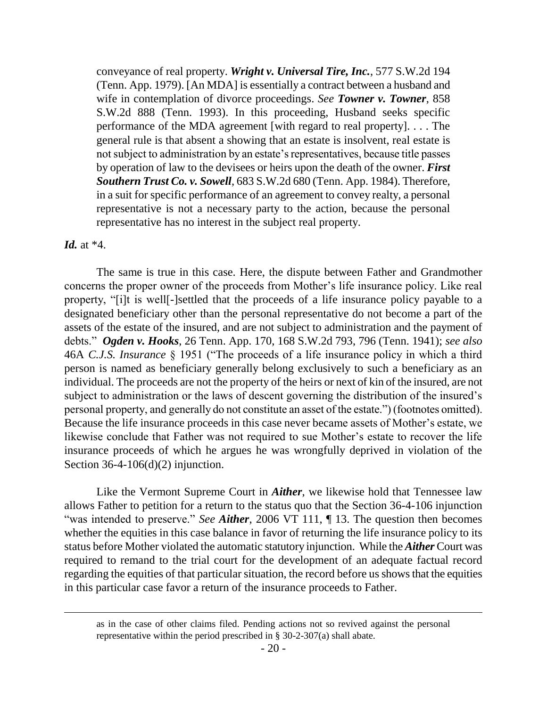conveyance of real property. *Wright v. Universal Tire, Inc.*, 577 S.W.2d 194 (Tenn. App. 1979). [An MDA] is essentially a contract between a husband and wife in contemplation of divorce proceedings. *See Towner v. Towner*, 858 S.W.2d 888 (Tenn. 1993). In this proceeding, Husband seeks specific performance of the MDA agreement [with regard to real property]. . . . The general rule is that absent a showing that an estate is insolvent, real estate is not subject to administration by an estate's representatives, because title passes by operation of law to the devisees or heirs upon the death of the owner. *First Southern Trust Co. v. Sowell*, 683 S.W.2d 680 (Tenn. App. 1984). Therefore, in a suit for specific performance of an agreement to convey realty, a personal representative is not a necessary party to the action, because the personal representative has no interest in the subject real property.

#### *Id.* at \*4.

The same is true in this case. Here, the dispute between Father and Grandmother concerns the proper owner of the proceeds from Mother's life insurance policy. Like real property, "[i]t is well[-]settled that the proceeds of a life insurance policy payable to a designated beneficiary other than the personal representative do not become a part of the assets of the estate of the insured, and are not subject to administration and the payment of debts.‖ *Ogden v. Hooks*, 26 Tenn. App. 170, 168 S.W.2d 793, 796 (Tenn. 1941); *see also* 46A *C.J.S. Insurance* § 1951 ("The proceeds of a life insurance policy in which a third person is named as beneficiary generally belong exclusively to such a beneficiary as an individual. The proceeds are not the property of the heirs or next of kin of the insured, are not subject to administration or the laws of descent governing the distribution of the insured's personal property, and generally do not constitute an asset of the estate.") (footnotes omitted). Because the life insurance proceeds in this case never became assets of Mother's estate, we likewise conclude that Father was not required to sue Mother's estate to recover the life insurance proceeds of which he argues he was wrongfully deprived in violation of the Section  $36-4-106(d)(2)$  injunction.

Like the Vermont Supreme Court in *Aither*, we likewise hold that Tennessee law allows Father to petition for a return to the status quo that the Section 36-4-106 injunction "was intended to preserve." *See Aither*, 2006 VT 111, ¶ 13. The question then becomes whether the equities in this case balance in favor of returning the life insurance policy to its status before Mother violated the automatic statutory injunction. While the *Aither* Court was required to remand to the trial court for the development of an adequate factual record regarding the equities of that particular situation, the record before us shows that the equities in this particular case favor a return of the insurance proceeds to Father.

as in the case of other claims filed. Pending actions not so revived against the personal representative within the period prescribed in § 30-2-307(a) shall abate.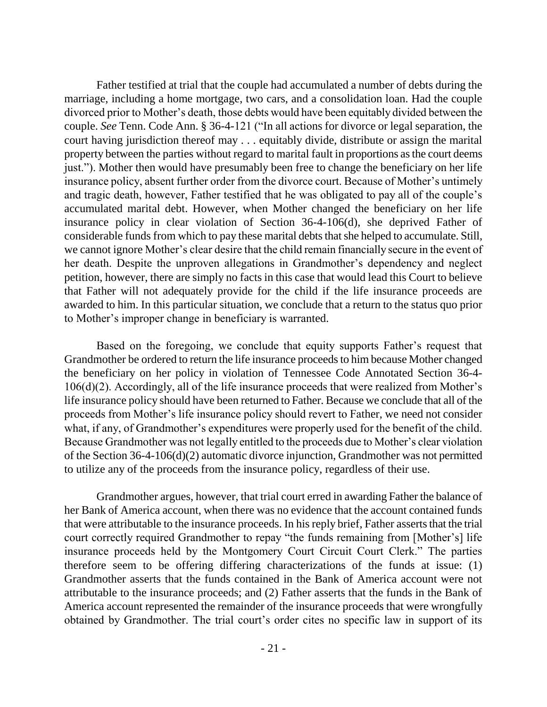Father testified at trial that the couple had accumulated a number of debts during the marriage, including a home mortgage, two cars, and a consolidation loan. Had the couple divorced prior to Mother's death, those debts would have been equitably divided between the couple. *See* Tenn. Code Ann. § 36-4-121 ("In all actions for divorce or legal separation, the court having jurisdiction thereof may . . . equitably divide, distribute or assign the marital property between the parties without regard to marital fault in proportions as the court deems just."). Mother then would have presumably been free to change the beneficiary on her life insurance policy, absent further order from the divorce court. Because of Mother's untimely and tragic death, however, Father testified that he was obligated to pay all of the couple's accumulated marital debt. However, when Mother changed the beneficiary on her life insurance policy in clear violation of Section 36-4-106(d), she deprived Father of considerable funds from which to pay these marital debts that she helped to accumulate. Still, we cannot ignore Mother's clear desire that the child remain financially secure in the event of her death. Despite the unproven allegations in Grandmother's dependency and neglect petition, however, there are simply no facts in this case that would lead this Court to believe that Father will not adequately provide for the child if the life insurance proceeds are awarded to him. In this particular situation, we conclude that a return to the status quo prior to Mother's improper change in beneficiary is warranted.

Based on the foregoing, we conclude that equity supports Father's request that Grandmother be ordered to return the life insurance proceeds to him because Mother changed the beneficiary on her policy in violation of Tennessee Code Annotated Section 36-4- 106(d)(2). Accordingly, all of the life insurance proceeds that were realized from Mother's life insurance policy should have been returned to Father. Because we conclude that all of the proceeds from Mother's life insurance policy should revert to Father, we need not consider what, if any, of Grandmother's expenditures were properly used for the benefit of the child. Because Grandmother was not legally entitled to the proceeds due to Mother's clear violation of the Section 36-4-106(d)(2) automatic divorce injunction, Grandmother was not permitted to utilize any of the proceeds from the insurance policy, regardless of their use.

Grandmother argues, however, that trial court erred in awarding Father the balance of her Bank of America account, when there was no evidence that the account contained funds that were attributable to the insurance proceeds. In his reply brief, Father asserts that the trial court correctly required Grandmother to repay "the funds remaining from [Mother's] life insurance proceeds held by the Montgomery Court Circuit Court Clerk." The parties therefore seem to be offering differing characterizations of the funds at issue: (1) Grandmother asserts that the funds contained in the Bank of America account were not attributable to the insurance proceeds; and (2) Father asserts that the funds in the Bank of America account represented the remainder of the insurance proceeds that were wrongfully obtained by Grandmother. The trial court's order cites no specific law in support of its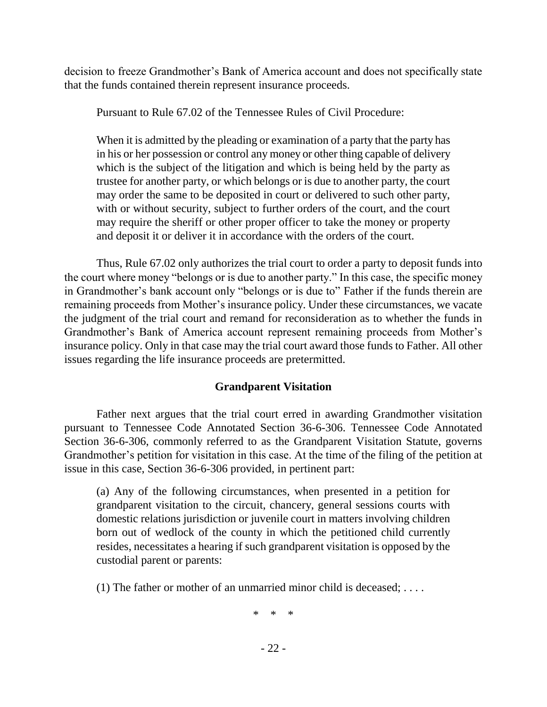decision to freeze Grandmother's Bank of America account and does not specifically state that the funds contained therein represent insurance proceeds.

Pursuant to Rule 67.02 of the Tennessee Rules of Civil Procedure:

When it is admitted by the pleading or examination of a party that the party has in his or her possession or control any money or other thing capable of delivery which is the subject of the litigation and which is being held by the party as trustee for another party, or which belongs or is due to another party, the court may order the same to be deposited in court or delivered to such other party, with or without security, subject to further orders of the court, and the court may require the sheriff or other proper officer to take the money or property and deposit it or deliver it in accordance with the orders of the court.

Thus, Rule 67.02 only authorizes the trial court to order a party to deposit funds into the court where money "belongs or is due to another party." In this case, the specific money in Grandmother's bank account only "belongs or is due to" Father if the funds therein are remaining proceeds from Mother's insurance policy. Under these circumstances, we vacate the judgment of the trial court and remand for reconsideration as to whether the funds in Grandmother's Bank of America account represent remaining proceeds from Mother's insurance policy. Only in that case may the trial court award those funds to Father. All other issues regarding the life insurance proceeds are pretermitted.

## **Grandparent Visitation**

Father next argues that the trial court erred in awarding Grandmother visitation pursuant to Tennessee Code Annotated Section 36-6-306. Tennessee Code Annotated Section 36-6-306, commonly referred to as the Grandparent Visitation Statute, governs Grandmother's petition for visitation in this case. At the time of the filing of the petition at issue in this case, Section 36-6-306 provided, in pertinent part:

(a) Any of the following circumstances, when presented in a petition for grandparent visitation to the circuit, chancery, general sessions courts with domestic relations jurisdiction or juvenile court in matters involving children born out of wedlock of the county in which the petitioned child currently resides, necessitates a hearing if such grandparent visitation is opposed by the custodial parent or parents:

(1) The father or mother of an unmarried minor child is deceased; . . . .

\* \* \*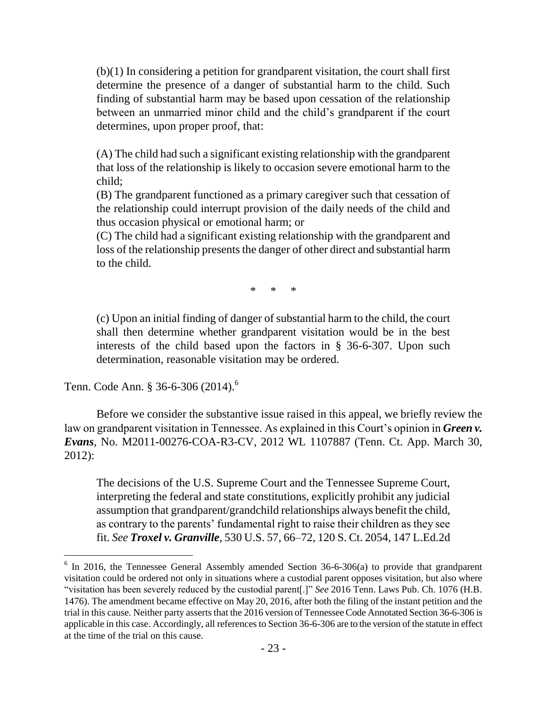(b)(1) In considering a petition for grandparent visitation, the court shall first determine the presence of a danger of substantial harm to the child. Such finding of substantial harm may be based upon cessation of the relationship between an unmarried minor child and the child's grandparent if the court determines, upon proper proof, that:

(A) The child had such a significant existing relationship with the grandparent that loss of the relationship is likely to occasion severe emotional harm to the child;

(B) The grandparent functioned as a primary caregiver such that cessation of the relationship could interrupt provision of the daily needs of the child and thus occasion physical or emotional harm; or

(C) The child had a significant existing relationship with the grandparent and loss of the relationship presents the danger of other direct and substantial harm to the child.

\* \* \*

(c) Upon an initial finding of danger of substantial harm to the child, the court shall then determine whether grandparent visitation would be in the best interests of the child based upon the factors in § 36-6-307. Upon such determination, reasonable visitation may be ordered.

Tenn. Code Ann. § 36-6-306 (2014).<sup>6</sup>

 $\overline{a}$ 

Before we consider the substantive issue raised in this appeal, we briefly review the law on grandparent visitation in Tennessee. As explained in this Court's opinion in *Green v. Evans*, No. M2011-00276-COA-R3-CV, 2012 WL 1107887 (Tenn. Ct. App. March 30, 2012):

The decisions of the U.S. Supreme Court and the Tennessee Supreme Court, interpreting the federal and state constitutions, explicitly prohibit any judicial assumption that grandparent/grandchild relationships always benefit the child, as contrary to the parents' fundamental right to raise their children as they see fit. *See Troxel v. Granville*, 530 U.S. 57, 66–72, 120 S. Ct. 2054, 147 L.Ed.2d

 $6$  In 2016, the Tennessee General Assembly amended Section 36-6-306(a) to provide that grandparent visitation could be ordered not only in situations where a custodial parent opposes visitation, but also where ―visitation has been severely reduced by the custodial parent[.]‖ *See* 2016 Tenn. Laws Pub. Ch. 1076 (H.B. 1476). The amendment became effective on May 20, 2016, after both the filing of the instant petition and the trial in this cause. Neither party asserts that the 2016 version of Tennessee Code Annotated Section 36-6-306 is applicable in this case. Accordingly, all references to Section 36-6-306 are to the version of the statute in effect at the time of the trial on this cause.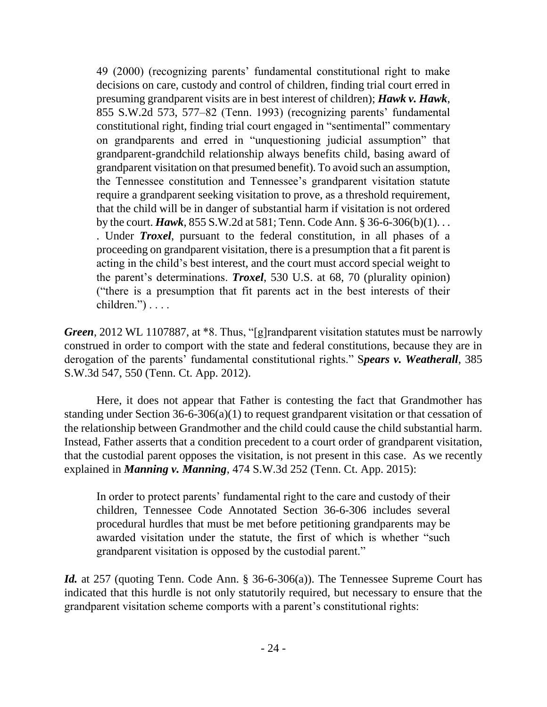49 (2000) (recognizing parents' fundamental constitutional right to make decisions on care, custody and control of children, finding trial court erred in presuming grandparent visits are in best interest of children); *Hawk v. Hawk*, 855 S.W.2d 573, 577–82 (Tenn. 1993) (recognizing parents' fundamental constitutional right, finding trial court engaged in "sentimental" commentary on grandparents and erred in "unquestioning judicial assumption" that grandparent-grandchild relationship always benefits child, basing award of grandparent visitation on that presumed benefit). To avoid such an assumption, the Tennessee constitution and Tennessee's grandparent visitation statute require a grandparent seeking visitation to prove, as a threshold requirement, that the child will be in danger of substantial harm if visitation is not ordered by the court. *Hawk*, 855 S.W.2d at 581; Tenn. Code Ann. § 36-6-306(b)(1). . . . Under *Troxel*, pursuant to the federal constitution, in all phases of a proceeding on grandparent visitation, there is a presumption that a fit parent is acting in the child's best interest, and the court must accord special weight to the parent's determinations. *Troxel*, 530 U.S. at 68, 70 (plurality opinion) ("there is a presumption that fit parents act in the best interests of their  $children."$ )  $\ldots$ 

*Green*, 2012 WL 1107887, at \*8. Thus, "[g]randparent visitation statutes must be narrowly construed in order to comport with the state and federal constitutions, because they are in derogation of the parents' fundamental constitutional rights." Spears v. Weatherall, 385 S.W.3d 547, 550 (Tenn. Ct. App. 2012).

Here, it does not appear that Father is contesting the fact that Grandmother has standing under Section 36-6-306(a)(1) to request grandparent visitation or that cessation of the relationship between Grandmother and the child could cause the child substantial harm. Instead, Father asserts that a condition precedent to a court order of grandparent visitation, that the custodial parent opposes the visitation, is not present in this case. As we recently explained in *Manning v. Manning*, 474 S.W.3d 252 (Tenn. Ct. App. 2015):

In order to protect parents' fundamental right to the care and custody of their children, Tennessee Code Annotated Section 36-6-306 includes several procedural hurdles that must be met before petitioning grandparents may be awarded visitation under the statute, the first of which is whether "such grandparent visitation is opposed by the custodial parent."

*Id.* at 257 (quoting Tenn. Code Ann. § 36-6-306(a)). The Tennessee Supreme Court has indicated that this hurdle is not only statutorily required, but necessary to ensure that the grandparent visitation scheme comports with a parent's constitutional rights: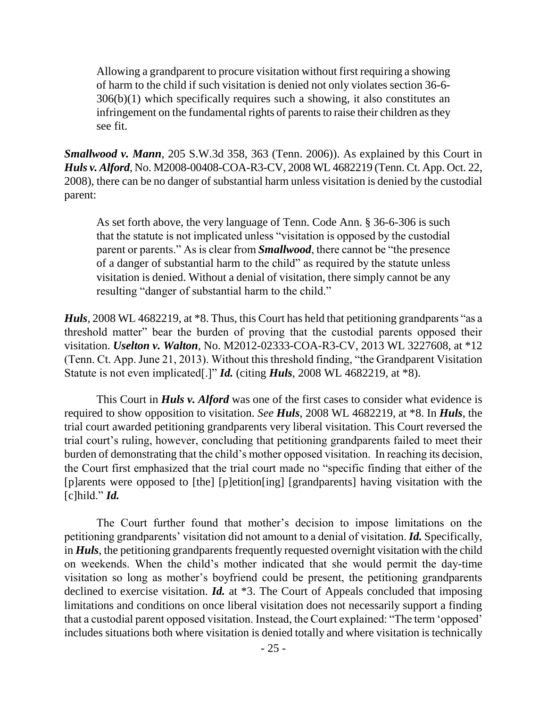Allowing a grandparent to procure visitation without first requiring a showing of harm to the child if such visitation is denied not only violates section 36-6- 306(b)(1) which specifically requires such a showing, it also constitutes an infringement on the fundamental rights of parents to raise their children as they see fit.

*Smallwood v. Mann*, 205 S.W.3d 358, 363 (Tenn. 2006)). As explained by this Court in *Huls v. Alford*, No. M2008-00408-COA-R3-CV, 2008 WL 4682219 (Tenn. Ct. App. Oct. 22, 2008), there can be no danger of substantial harm unless visitation is denied by the custodial parent:

As set forth above, the very language of Tenn. Code Ann. § 36-6-306 is such that the statute is not implicated unless "visitation is opposed by the custodial parent or parents." As is clear from *Smallwood*, there cannot be "the presence of a danger of substantial harm to the child" as required by the statute unless visitation is denied. Without a denial of visitation, there simply cannot be any resulting "danger of substantial harm to the child."

*Huls*, 2008 WL 4682219, at \*8. Thus, this Court has held that petitioning grandparents "as a threshold matter" bear the burden of proving that the custodial parents opposed their visitation. *Uselton v. Walton*, No. M2012-02333-COA-R3-CV, 2013 WL 3227608, at \*12 (Tenn. Ct. App. June 21, 2013). Without this threshold finding, "the Grandparent Visitation" Statute is not even implicated[.]" *Id.* (citing *Huls*, 2008 WL 4682219, at \*8).

This Court in *Huls v. Alford* was one of the first cases to consider what evidence is required to show opposition to visitation. *See Huls*, 2008 WL 4682219, at \*8. In *Huls*, the trial court awarded petitioning grandparents very liberal visitation. This Court reversed the trial court's ruling, however, concluding that petitioning grandparents failed to meet their burden of demonstrating that the child's mother opposed visitation. In reaching its decision, the Court first emphasized that the trial court made no "specific finding that either of the [p]arents were opposed to [the] [p]etition[ing] [grandparents] having visitation with the  $[c]$ hild." *Id.* 

The Court further found that mother's decision to impose limitations on the petitioning grandparents' visitation did not amount to a denial of visitation. *Id.* Specifically, in *Huls*, the petitioning grandparents frequently requested overnight visitation with the child on weekends. When the child's mother indicated that she would permit the day-time visitation so long as mother's boyfriend could be present, the petitioning grandparents declined to exercise visitation. *Id.* at \*3. The Court of Appeals concluded that imposing limitations and conditions on once liberal visitation does not necessarily support a finding that a custodial parent opposed visitation. Instead, the Court explained: "The term 'opposed' includes situations both where visitation is denied totally and where visitation is technically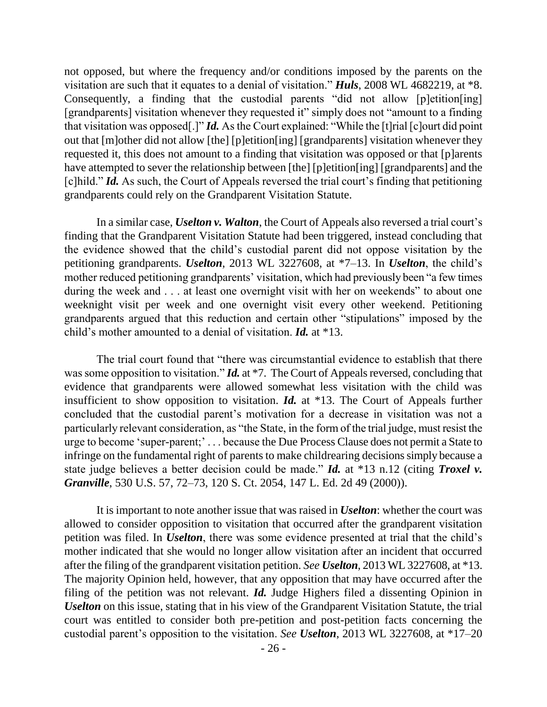not opposed, but where the frequency and/or conditions imposed by the parents on the visitation are such that it equates to a denial of visitation." **Huls**, 2008 WL 4682219, at \*8. Consequently, a finding that the custodial parents "did not allow  $[p]$ etition $[p]$ [grandparents] visitation whenever they requested it" simply does not "amount to a finding that visitation was opposed[.]" *Id.* As the Court explained: "While the [t]rial [c]ourt did point out that [m]other did not allow [the] [p]etition[ing] [grandparents] visitation whenever they requested it, this does not amount to a finding that visitation was opposed or that [p]arents have attempted to sever the relationship between [the] [p]etition[ing] [grandparents] and the [c]hild." *Id.* As such, the Court of Appeals reversed the trial court's finding that petitioning grandparents could rely on the Grandparent Visitation Statute.

In a similar case, *Uselton v. Walton*, the Court of Appeals also reversed a trial court's finding that the Grandparent Visitation Statute had been triggered, instead concluding that the evidence showed that the child's custodial parent did not oppose visitation by the petitioning grandparents. *Uselton*, 2013 WL 3227608, at \*7–13. In *Uselton*, the child's mother reduced petitioning grandparents' visitation, which had previously been "a few times" during the week and . . . at least one overnight visit with her on weekends" to about one weeknight visit per week and one overnight visit every other weekend. Petitioning grandparents argued that this reduction and certain other "stipulations" imposed by the child's mother amounted to a denial of visitation. *Id.* at \*13.

The trial court found that "there was circumstantial evidence to establish that there was some opposition to visitation." *Id.* at \*7. The Court of Appeals reversed, concluding that evidence that grandparents were allowed somewhat less visitation with the child was insufficient to show opposition to visitation. *Id.* at \*13. The Court of Appeals further concluded that the custodial parent's motivation for a decrease in visitation was not a particularly relevant consideration, as "the State, in the form of the trial judge, must resist the urge to become 'super-parent;'... because the Due Process Clause does not permit a State to infringe on the fundamental right of parents to make childrearing decisions simply because a state judge believes a better decision could be made." *Id.* at \*13 n.12 (citing *Troxel v. Granville*, 530 U.S. 57, 72–73, 120 S. Ct. 2054, 147 L. Ed. 2d 49 (2000)).

It is important to note another issue that was raised in *Uselton*: whether the court was allowed to consider opposition to visitation that occurred after the grandparent visitation petition was filed. In *Uselton*, there was some evidence presented at trial that the child's mother indicated that she would no longer allow visitation after an incident that occurred after the filing of the grandparent visitation petition. *See Uselton*, 2013 WL 3227608, at \*13. The majority Opinion held, however, that any opposition that may have occurred after the filing of the petition was not relevant. *Id.* Judge Highers filed a dissenting Opinion in *Uselton* on this issue, stating that in his view of the Grandparent Visitation Statute, the trial court was entitled to consider both pre-petition and post-petition facts concerning the custodial parent's opposition to the visitation. *See Uselton*, 2013 WL 3227608, at \*17–20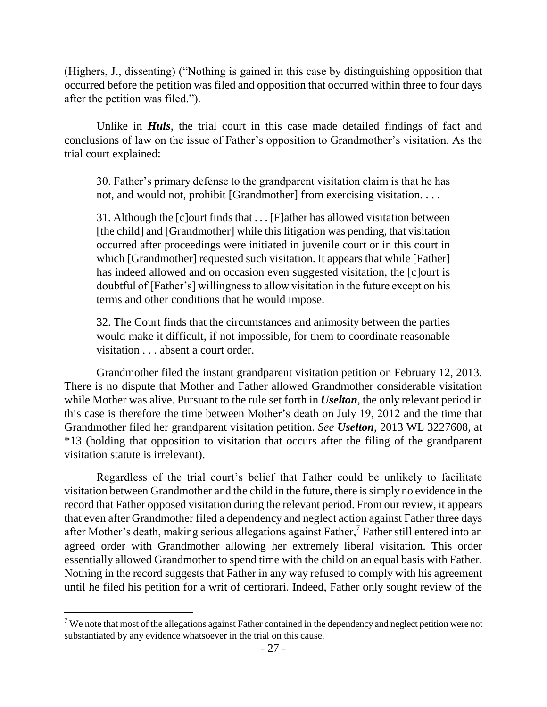(Highers, J., dissenting) ("Nothing is gained in this case by distinguishing opposition that occurred before the petition was filed and opposition that occurred within three to four days after the petition was filed.").

Unlike in *Huls*, the trial court in this case made detailed findings of fact and conclusions of law on the issue of Father's opposition to Grandmother's visitation. As the trial court explained:

30. Father's primary defense to the grandparent visitation claim is that he has not, and would not, prohibit [Grandmother] from exercising visitation. . . .

31. Although the [c]ourt finds that . . . [F]ather has allowed visitation between [the child] and [Grandmother] while this litigation was pending, that visitation occurred after proceedings were initiated in juvenile court or in this court in which [Grandmother] requested such visitation. It appears that while [Father] has indeed allowed and on occasion even suggested visitation, the [c]ourt is doubtful of [Father's] willingness to allow visitation in the future except on his terms and other conditions that he would impose.

32. The Court finds that the circumstances and animosity between the parties would make it difficult, if not impossible, for them to coordinate reasonable visitation . . . absent a court order.

Grandmother filed the instant grandparent visitation petition on February 12, 2013. There is no dispute that Mother and Father allowed Grandmother considerable visitation while Mother was alive. Pursuant to the rule set forth in *Uselton*, the only relevant period in this case is therefore the time between Mother's death on July 19, 2012 and the time that Grandmother filed her grandparent visitation petition. *See Uselton*, 2013 WL 3227608, at \*13 (holding that opposition to visitation that occurs after the filing of the grandparent visitation statute is irrelevant).

Regardless of the trial court's belief that Father could be unlikely to facilitate visitation between Grandmother and the child in the future, there is simply no evidence in the record that Father opposed visitation during the relevant period. From our review, it appears that even after Grandmother filed a dependency and neglect action against Father three days after Mother's death, making serious allegations against Father, $\frac{7}{1}$  Father still entered into an agreed order with Grandmother allowing her extremely liberal visitation. This order essentially allowed Grandmother to spend time with the child on an equal basis with Father. Nothing in the record suggests that Father in any way refused to comply with his agreement until he filed his petition for a writ of certiorari. Indeed, Father only sought review of the

 $7$  We note that most of the allegations against Father contained in the dependency and neglect petition were not substantiated by any evidence whatsoever in the trial on this cause.